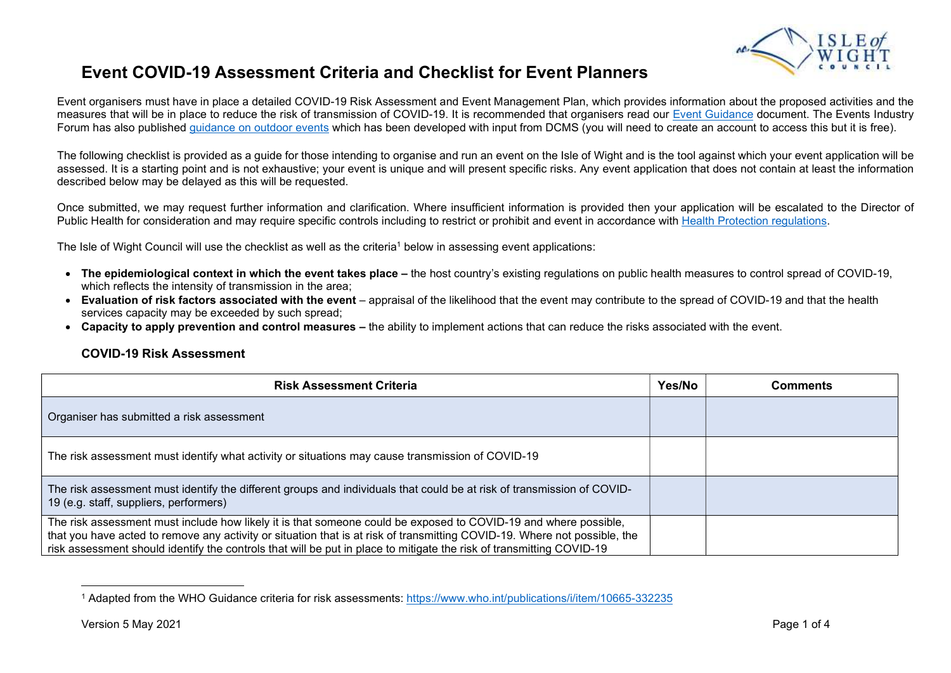

## Event COVID-19 Assessment Criteria and Checklist for Event Planners

Event organisers must have in place a detailed COVID-19 Risk Assessment and Event Management Plan, which provides information about the proposed activities and the measures that will be in place to reduce the risk of transmission of COVID-19. It is recommended that organisers read our Event Guidance document. The Events Industry Forum has also published quidance on outdoor events which has been developed with input from DCMS (you will need to create an account to access this but it is free).

The following checklist is provided as a guide for those intending to organise and run an event on the Isle of Wight and is the tool against which your event application will be assessed. It is a starting point and is not exhaustive; your event is unique and will present specific risks. Any event application that does not contain at least the information described below may be delayed as this will be requested.

Once submitted, we may request further information and clarification. Where insufficient information is provided then your application will be escalated to the Director of Public Health for consideration and may require specific controls including to restrict or prohibit and event in accordance with Health Protection regulations.

The Isle of Wight Council will use the checklist as well as the criteria<sup>1</sup> below in assessing event applications:

- The epidemiological context in which the event takes place the host country's existing regulations on public health measures to control spread of COVID-19. which reflects the intensity of transmission in the area;
- Evaluation of risk factors associated with the event appraisal of the likelihood that the event may contribute to the spread of COVID-19 and that the health services capacity may be exceeded by such spread;
- Capacity to apply prevention and control measures the ability to implement actions that can reduce the risks associated with the event.

## COVID-19 Risk Assessment

| <b>Risk Assessment Criteria</b>                                                                                                                                                                                                                                                                                                                                      | Yes/No | Comments |
|----------------------------------------------------------------------------------------------------------------------------------------------------------------------------------------------------------------------------------------------------------------------------------------------------------------------------------------------------------------------|--------|----------|
| Organiser has submitted a risk assessment                                                                                                                                                                                                                                                                                                                            |        |          |
| The risk assessment must identify what activity or situations may cause transmission of COVID-19                                                                                                                                                                                                                                                                     |        |          |
| The risk assessment must identify the different groups and individuals that could be at risk of transmission of COVID-<br>19 (e.g. staff, suppliers, performers)                                                                                                                                                                                                     |        |          |
| The risk assessment must include how likely it is that someone could be exposed to COVID-19 and where possible,<br>that you have acted to remove any activity or situation that is at risk of transmitting COVID-19. Where not possible, the<br>risk assessment should identify the controls that will be put in place to mitigate the risk of transmitting COVID-19 |        |          |

<sup>1</sup> Adapted from the WHO Guidance criteria for risk assessments: https://www.who.int/publications/i/item/10665-332235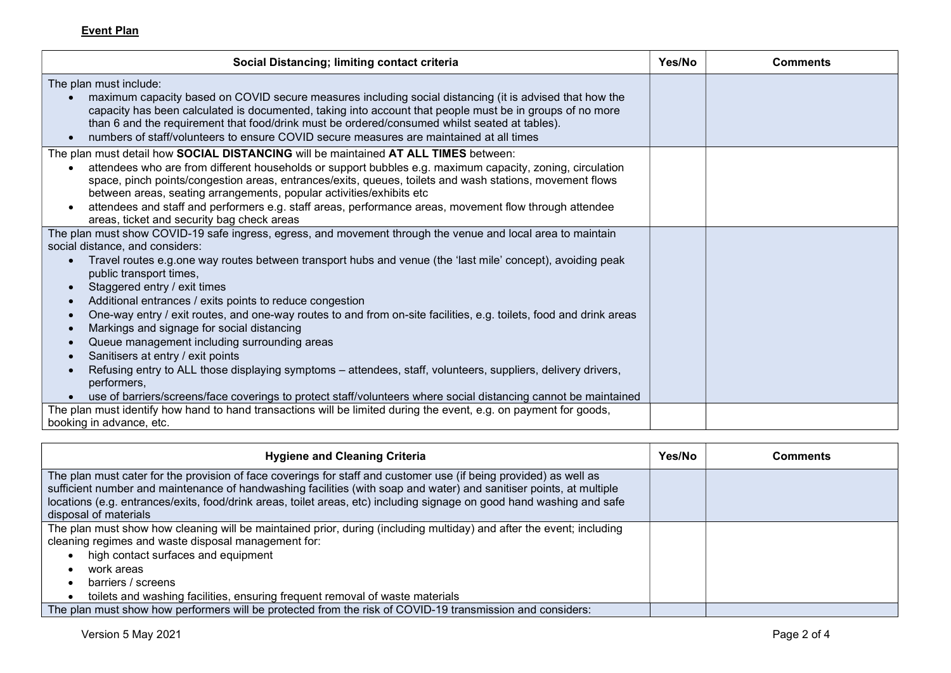Event Plan

| Social Distancing; limiting contact criteria                                                                                                                                                                                                                                                                                                                                                                                 | Yes/No | <b>Comments</b> |
|------------------------------------------------------------------------------------------------------------------------------------------------------------------------------------------------------------------------------------------------------------------------------------------------------------------------------------------------------------------------------------------------------------------------------|--------|-----------------|
| The plan must include:                                                                                                                                                                                                                                                                                                                                                                                                       |        |                 |
| maximum capacity based on COVID secure measures including social distancing (it is advised that how the<br>capacity has been calculated is documented, taking into account that people must be in groups of no more<br>than 6 and the requirement that food/drink must be ordered/consumed whilst seated at tables).<br>numbers of staff/volunteers to ensure COVID secure measures are maintained at all times<br>$\bullet$ |        |                 |
| The plan must detail how SOCIAL DISTANCING will be maintained AT ALL TIMES between:                                                                                                                                                                                                                                                                                                                                          |        |                 |
| attendees who are from different households or support bubbles e.g. maximum capacity, zoning, circulation<br>$\bullet$<br>space, pinch points/congestion areas, entrances/exits, queues, toilets and wash stations, movement flows<br>between areas, seating arrangements, popular activities/exhibits etc                                                                                                                   |        |                 |
| attendees and staff and performers e.g. staff areas, performance areas, movement flow through attendee<br>areas, ticket and security bag check areas                                                                                                                                                                                                                                                                         |        |                 |
| The plan must show COVID-19 safe ingress, egress, and movement through the venue and local area to maintain                                                                                                                                                                                                                                                                                                                  |        |                 |
| social distance, and considers:                                                                                                                                                                                                                                                                                                                                                                                              |        |                 |
| Travel routes e.g.one way routes between transport hubs and venue (the 'last mile' concept), avoiding peak<br>$\bullet$<br>public transport times,                                                                                                                                                                                                                                                                           |        |                 |
| Staggered entry / exit times<br>$\bullet$                                                                                                                                                                                                                                                                                                                                                                                    |        |                 |
| Additional entrances / exits points to reduce congestion<br>$\bullet$                                                                                                                                                                                                                                                                                                                                                        |        |                 |
| One-way entry / exit routes, and one-way routes to and from on-site facilities, e.g. toilets, food and drink areas<br>$\bullet$                                                                                                                                                                                                                                                                                              |        |                 |
| Markings and signage for social distancing<br>$\bullet$                                                                                                                                                                                                                                                                                                                                                                      |        |                 |
| Queue management including surrounding areas<br>$\bullet$                                                                                                                                                                                                                                                                                                                                                                    |        |                 |
| Sanitisers at entry / exit points<br>$\bullet$                                                                                                                                                                                                                                                                                                                                                                               |        |                 |
| Refusing entry to ALL those displaying symptoms – attendees, staff, volunteers, suppliers, delivery drivers,<br>$\bullet$<br>performers,                                                                                                                                                                                                                                                                                     |        |                 |
| use of barriers/screens/face coverings to protect staff/volunteers where social distancing cannot be maintained                                                                                                                                                                                                                                                                                                              |        |                 |
| The plan must identify how hand to hand transactions will be limited during the event, e.g. on payment for goods,                                                                                                                                                                                                                                                                                                            |        |                 |
| booking in advance, etc.                                                                                                                                                                                                                                                                                                                                                                                                     |        |                 |

| <b>Hygiene and Cleaning Criteria</b>                                                                                                                                                                                                                                                                                                                                                       | Yes/No | Comments |
|--------------------------------------------------------------------------------------------------------------------------------------------------------------------------------------------------------------------------------------------------------------------------------------------------------------------------------------------------------------------------------------------|--------|----------|
| The plan must cater for the provision of face coverings for staff and customer use (if being provided) as well as<br>sufficient number and maintenance of handwashing facilities (with soap and water) and sanitiser points, at multiple<br>locations (e.g. entrances/exits, food/drink areas, toilet areas, etc) including signage on good hand washing and safe<br>disposal of materials |        |          |
| The plan must show how cleaning will be maintained prior, during (including multiday) and after the event; including<br>cleaning regimes and waste disposal management for:<br>high contact surfaces and equipment<br>work areas<br>barriers / screens<br>toilets and washing facilities, ensuring frequent removal of waste materials                                                     |        |          |
| The plan must show how performers will be protected from the risk of COVID-19 transmission and considers:                                                                                                                                                                                                                                                                                  |        |          |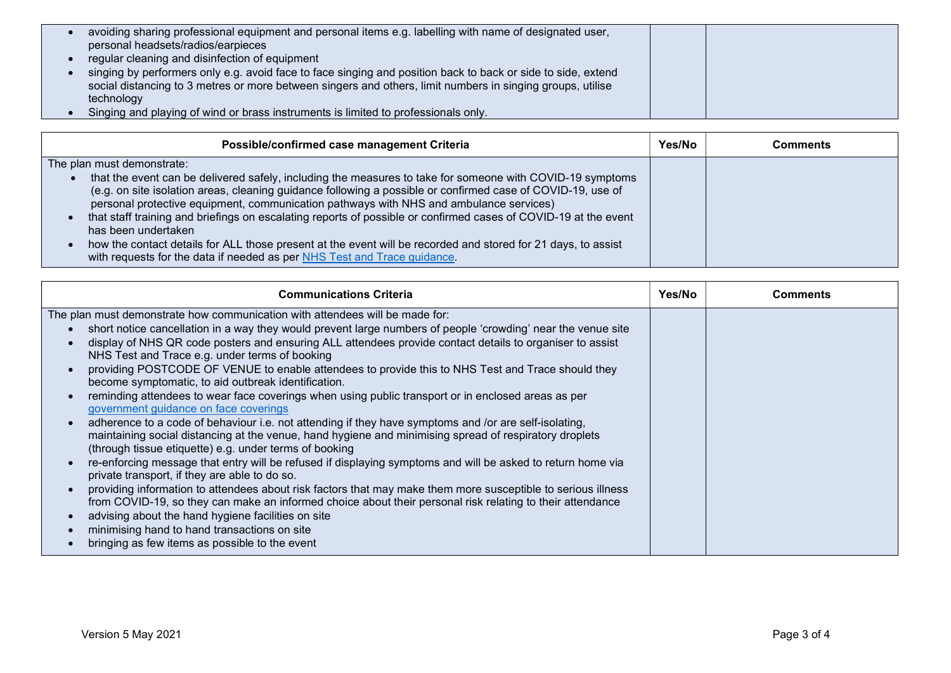| avoiding sharing professional equipment and personal items e.g. labelling with name of designated user,<br>personal headsets/radios/earpieces                                                                              |  |
|----------------------------------------------------------------------------------------------------------------------------------------------------------------------------------------------------------------------------|--|
| regular cleaning and disinfection of equipment                                                                                                                                                                             |  |
| singing by performers only e.g. avoid face to face singing and position back to back or side to side, extend<br>social distancing to 3 metres or more between singers and others, limit numbers in singing groups, utilise |  |
| technology                                                                                                                                                                                                                 |  |
| Singing and playing of wind or brass instruments is limited to professionals only.                                                                                                                                         |  |

| Possible/confirmed case management Criteria                                                                                                                                                                                                                                                                                                                                                                                                                                                                                                                                                                                                                            | Yes/No | Comments |
|------------------------------------------------------------------------------------------------------------------------------------------------------------------------------------------------------------------------------------------------------------------------------------------------------------------------------------------------------------------------------------------------------------------------------------------------------------------------------------------------------------------------------------------------------------------------------------------------------------------------------------------------------------------------|--------|----------|
| The plan must demonstrate:                                                                                                                                                                                                                                                                                                                                                                                                                                                                                                                                                                                                                                             |        |          |
| that the event can be delivered safely, including the measures to take for someone with COVID-19 symptoms<br>$\bullet$<br>(e.g. on site isolation areas, cleaning guidance following a possible or confirmed case of COVID-19, use of<br>personal protective equipment, communication pathways with NHS and ambulance services)<br>that staff training and briefings on escalating reports of possible or confirmed cases of COVID-19 at the event<br>has been undertaken<br>how the contact details for ALL those present at the event will be recorded and stored for 21 days, to assist<br>with requests for the data if needed as per NHS Test and Trace guidance. |        |          |

| <b>Communications Criteria</b>                                                                                                                                                                                                                                                                                                                                                                                                                                                                                                                                                                                                                                                                                                                                                                                                                                                                                                                                                                                                                                    | Yes/No | <b>Comments</b> |
|-------------------------------------------------------------------------------------------------------------------------------------------------------------------------------------------------------------------------------------------------------------------------------------------------------------------------------------------------------------------------------------------------------------------------------------------------------------------------------------------------------------------------------------------------------------------------------------------------------------------------------------------------------------------------------------------------------------------------------------------------------------------------------------------------------------------------------------------------------------------------------------------------------------------------------------------------------------------------------------------------------------------------------------------------------------------|--------|-----------------|
| The plan must demonstrate how communication with attendees will be made for:<br>short notice cancellation in a way they would prevent large numbers of people 'crowding' near the venue site<br>display of NHS QR code posters and ensuring ALL attendees provide contact details to organiser to assist<br>NHS Test and Trace e.g. under terms of booking<br>providing POSTCODE OF VENUE to enable attendees to provide this to NHS Test and Trace should they<br>become symptomatic, to aid outbreak identification.<br>reminding attendees to wear face coverings when using public transport or in enclosed areas as per<br>government guidance on face coverings<br>adherence to a code of behaviour i.e. not attending if they have symptoms and /or are self-isolating,<br>maintaining social distancing at the venue, hand hygiene and minimising spread of respiratory droplets<br>(through tissue etiquette) e.g. under terms of booking<br>re-enforcing message that entry will be refused if displaying symptoms and will be asked to return home via |        |                 |
| private transport, if they are able to do so.<br>providing information to attendees about risk factors that may make them more susceptible to serious illness<br>from COVID-19, so they can make an informed choice about their personal risk relating to their attendance<br>advising about the hand hygiene facilities on site<br>minimising hand to hand transactions on site<br>bringing as few items as possible to the event                                                                                                                                                                                                                                                                                                                                                                                                                                                                                                                                                                                                                                |        |                 |